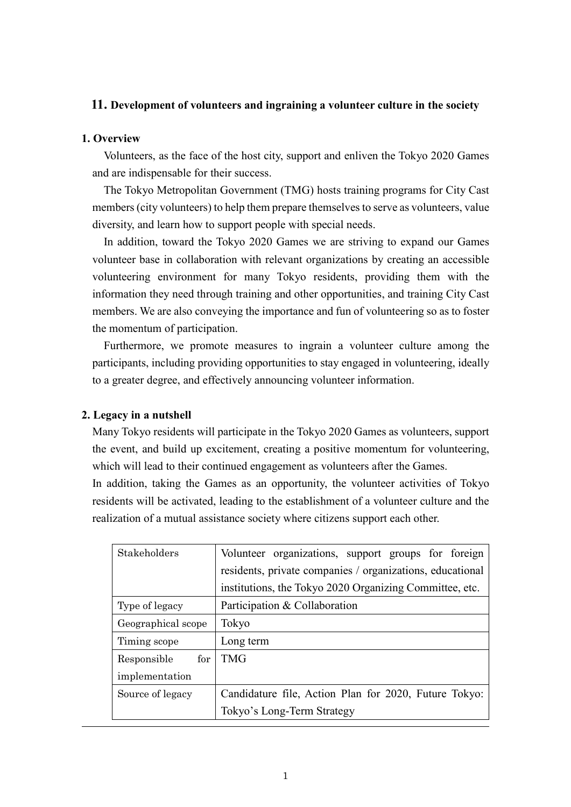# **11. Development of volunteers and ingraining a volunteer culture in the society**

## **1. Overview**

Volunteers, as the face of the host city, support and enliven the Tokyo 2020 Games and are indispensable for their success.

The Tokyo Metropolitan Government (TMG) hosts training programs for City Cast members(city volunteers) to help them prepare themselves to serve as volunteers, value diversity, and learn how to support people with special needs.

In addition, toward the Tokyo 2020 Games we are striving to expand our Games volunteer base in collaboration with relevant organizations by creating an accessible volunteering environment for many Tokyo residents, providing them with the information they need through training and other opportunities, and training City Cast members. We are also conveying the importance and fun of volunteering so as to foster the momentum of participation.

Furthermore, we promote measures to ingrain a volunteer culture among the participants, including providing opportunities to stay engaged in volunteering, ideally to a greater degree, and effectively announcing volunteer information.

## **2. Legacy in a nutshell**

Many Tokyo residents will participate in the Tokyo 2020 Games as volunteers, support the event, and build up excitement, creating a positive momentum for volunteering, which will lead to their continued engagement as volunteers after the Games.

In addition, taking the Games as an opportunity, the volunteer activities of Tokyo residents will be activated, leading to the establishment of a volunteer culture and the realization of a mutual assistance society where citizens support each other.

| Stakeholders               | Volunteer organizations, support groups for foreign       |
|----------------------------|-----------------------------------------------------------|
|                            | residents, private companies / organizations, educational |
|                            | institutions, the Tokyo 2020 Organizing Committee, etc.   |
| Type of legacy             | Participation & Collaboration                             |
| Geographical scope         | Tokyo                                                     |
| Timing scope               | Long term                                                 |
| ${\rm for}$<br>Responsible | <b>TMG</b>                                                |
| implementation             |                                                           |
| Source of legacy           | Candidature file, Action Plan for 2020, Future Tokyo:     |
|                            | Tokyo's Long-Term Strategy                                |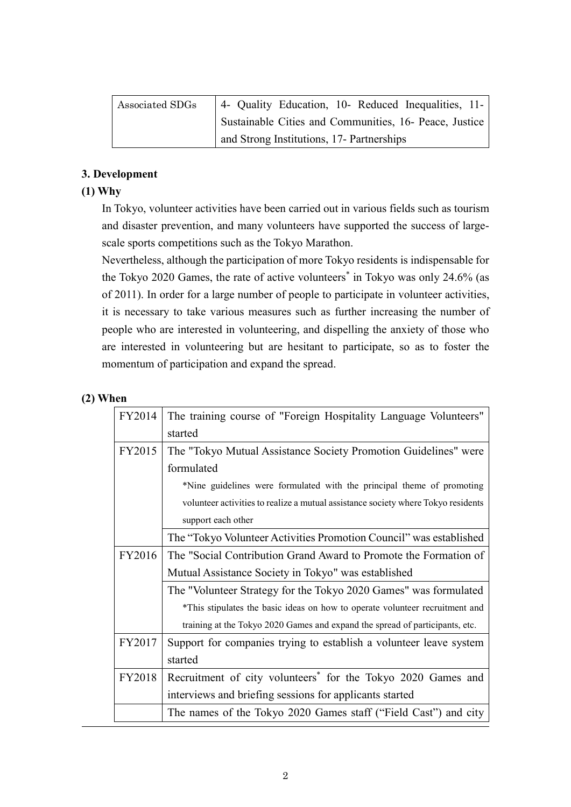| Associated SDGs | 4- Quality Education, 10- Reduced Inequalities, 11-    |
|-----------------|--------------------------------------------------------|
|                 | Sustainable Cities and Communities, 16- Peace, Justice |
|                 | and Strong Institutions, 17- Partnerships              |

# **3. Development**

# **(1) Why**

In Tokyo, volunteer activities have been carried out in various fields such as tourism and disaster prevention, and many volunteers have supported the success of largescale sports competitions such as the Tokyo Marathon.

Nevertheless, although the participation of more Tokyo residents is indispensable for the Tokyo 2020 Games, the rate of active volunteers<sup>\*</sup> in Tokyo was only 24.6% (as of 2011). In order for a large number of people to participate in volunteer activities, it is necessary to take various measures such as further increasing the number of people who are interested in volunteering, and dispelling the anxiety of those who are interested in volunteering but are hesitant to participate, so as to foster the momentum of participation and expand the spread.

## **(2) When**

| FY2014 | The training course of "Foreign Hospitality Language Volunteers"                  |  |  |
|--------|-----------------------------------------------------------------------------------|--|--|
|        | started                                                                           |  |  |
| FY2015 | The "Tokyo Mutual Assistance Society Promotion Guidelines" were                   |  |  |
|        | formulated                                                                        |  |  |
|        | *Nine guidelines were formulated with the principal theme of promoting            |  |  |
|        | volunteer activities to realize a mutual assistance society where Tokyo residents |  |  |
|        | support each other                                                                |  |  |
|        | The "Tokyo Volunteer Activities Promotion Council" was established                |  |  |
| FY2016 | The "Social Contribution Grand Award to Promote the Formation of                  |  |  |
|        | Mutual Assistance Society in Tokyo" was established                               |  |  |
|        | The "Volunteer Strategy for the Tokyo 2020 Games" was formulated                  |  |  |
|        | *This stipulates the basic ideas on how to operate volunteer recruitment and      |  |  |
|        | training at the Tokyo 2020 Games and expand the spread of participants, etc.      |  |  |
| FY2017 | Support for companies trying to establish a volunteer leave system                |  |  |
|        | started                                                                           |  |  |
| FY2018 | Recruitment of city volunteers <sup>*</sup> for the Tokyo 2020 Games and          |  |  |
|        | interviews and briefing sessions for applicants started                           |  |  |
|        | The names of the Tokyo 2020 Games staff ("Field Cast") and city                   |  |  |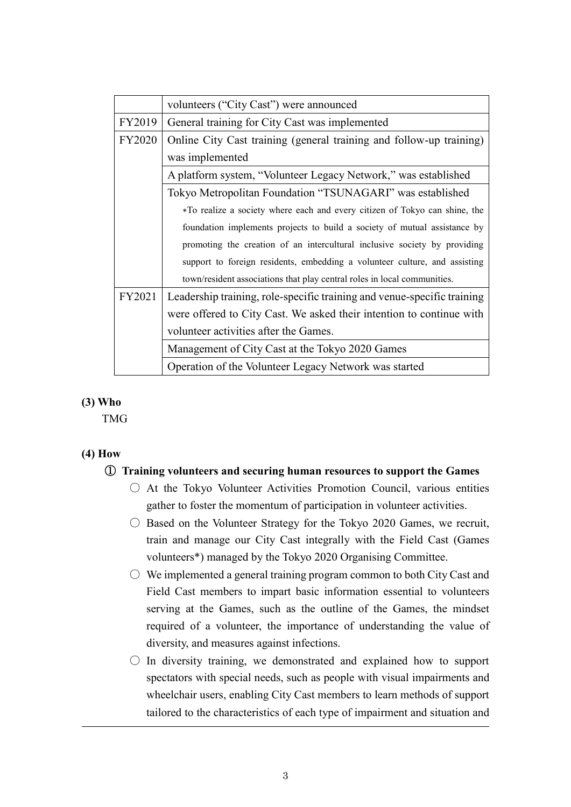|               | volunteers ("City Cast") were announced                                    |
|---------------|----------------------------------------------------------------------------|
| FY2019        | General training for City Cast was implemented                             |
| <b>FY2020</b> | Online City Cast training (general training and follow-up training)        |
|               | was implemented                                                            |
|               | A platform system, "Volunteer Legacy Network," was established             |
|               | Tokyo Metropolitan Foundation "TSUNAGARI" was established                  |
|               | *To realize a society where each and every citizen of Tokyo can shine, the |
|               | foundation implements projects to build a society of mutual assistance by  |
|               | promoting the creation of an intercultural inclusive society by providing  |
|               | support to foreign residents, embedding a volunteer culture, and assisting |
|               | town/resident associations that play central roles in local communities.   |
| FY2021        | Leadership training, role-specific training and venue-specific training    |
|               | were offered to City Cast. We asked their intention to continue with       |
|               | volunteer activities after the Games.                                      |
|               | Management of City Cast at the Tokyo 2020 Games                            |
|               | Operation of the Volunteer Legacy Network was started                      |

## **(3) Who**

TMG

# **(4) How**

## ① **Training volunteers and securing human resources to support the Games**

- At the Tokyo Volunteer Activities Promotion Council, various entities gather to foster the momentum of participation in volunteer activities.
- $\circ$  Based on the Volunteer Strategy for the Tokyo 2020 Games, we recruit, train and manage our City Cast integrally with the Field Cast (Games volunteers\*) managed by the Tokyo 2020 Organising Committee.
- $\circ$  We implemented a general training program common to both City Cast and Field Cast members to impart basic information essential to volunteers serving at the Games, such as the outline of the Games, the mindset required of a volunteer, the importance of understanding the value of diversity, and measures against infections.
- $\bigcirc$  In diversity training, we demonstrated and explained how to support spectators with special needs, such as people with visual impairments and wheelchair users, enabling City Cast members to learn methods of support tailored to the characteristics of each type of impairment and situation and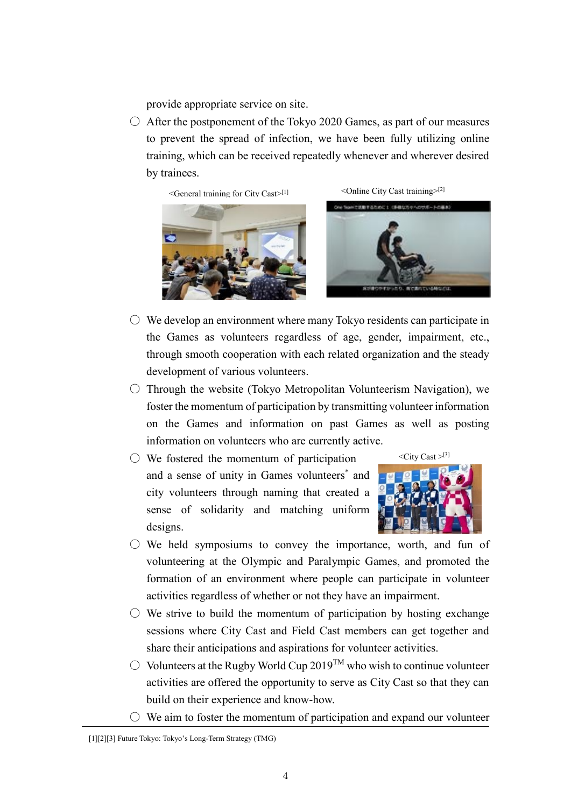provide appropriate service on site.

 $\circ$  After the postponement of the Tokyo 2020 Games, as part of our measures to prevent the spread of infection, we have been fully utilizing online training, which can be received repeatedly whenever and wherever desired by trainees.

 $\leq$ General training for City Cast $>$ <sup>[1]</sup>



[1] < Online City Cast training < > < Online City Cast training < N



- $\circ$  We develop an environment where many Tokyo residents can participate in the Games as volunteers regardless of age, gender, impairment, etc., through smooth cooperation with each related organization and the steady development of various volunteers.
- $\circ$  Through the website (Tokyo Metropolitan Volunteerism Navigation), we foster the momentum of participation by transmitting volunteer information on the Games and information on past Games as well as posting information on volunteers who are currently active.
- We fostered the momentum of participation and a sense of unity in Games volunteers\* and city volunteers through naming that created a sense of solidarity and matching uniform designs.



- $\circ$  We held symposiums to convey the importance, worth, and fun of volunteering at the Olympic and Paralympic Games, and promoted the formation of an environment where people can participate in volunteer activities regardless of whether or not they have an impairment.
- $\circ$  We strive to build the momentum of participation by hosting exchange sessions where City Cast and Field Cast members can get together and share their anticipations and aspirations for volunteer activities.
- $\bigcirc$  Volunteers at the Rugby World Cup 2019<sup>TM</sup> who wish to continue volunteer activities are offered the opportunity to serve as City Cast so that they can build on their experience and know-how.
- $\circ$  We aim to foster the momentum of participation and expand our volunteer

<sup>[1][2][3]</sup> Future Tokyo: Tokyo's Long-Term Strategy (TMG)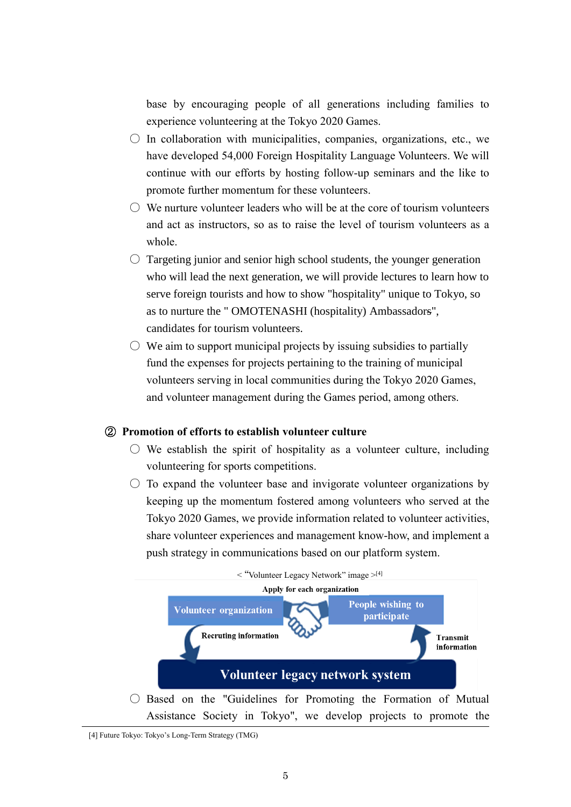base by encouraging people of all generations including families to experience volunteering at the Tokyo 2020 Games.

- $\circ$  In collaboration with municipalities, companies, organizations, etc., we have developed 54,000 Foreign Hospitality Language Volunteers. We will continue with our efforts by hosting follow-up seminars and the like to promote further momentum for these volunteers.
- $\bigcirc$  We nurture volunteer leaders who will be at the core of tourism volunteers and act as instructors, so as to raise the level of tourism volunteers as a whole.
- $\circ$  Targeting junior and senior high school students, the younger generation who will lead the next generation, we will provide lectures to learn how to serve foreign tourists and how to show "hospitality" unique to Tokyo, so as to nurture the " OMOTENASHI (hospitality) Ambassadors", candidates for tourism volunteers.
- $\circ$  We aim to support municipal projects by issuing subsidies to partially fund the expenses for projects pertaining to the training of municipal volunteers serving in local communities during the Tokyo 2020 Games, and volunteer management during the Games period, among others.

#### ② **Promotion of efforts to establish volunteer culture**

- $\circlearrowright$  We establish the spirit of hospitality as a volunteer culture, including volunteering for sports competitions.
- $\circ$  To expand the volunteer base and invigorate volunteer organizations by keeping up the momentum fostered among volunteers who served at the Tokyo 2020 Games, we provide information related to volunteer activities, share volunteer experiences and management know-how, and implement a push strategy in communications based on our platform system.



<sup>[4]</sup> Future Tokyo: Tokyo's Long-Term Strategy (TMG)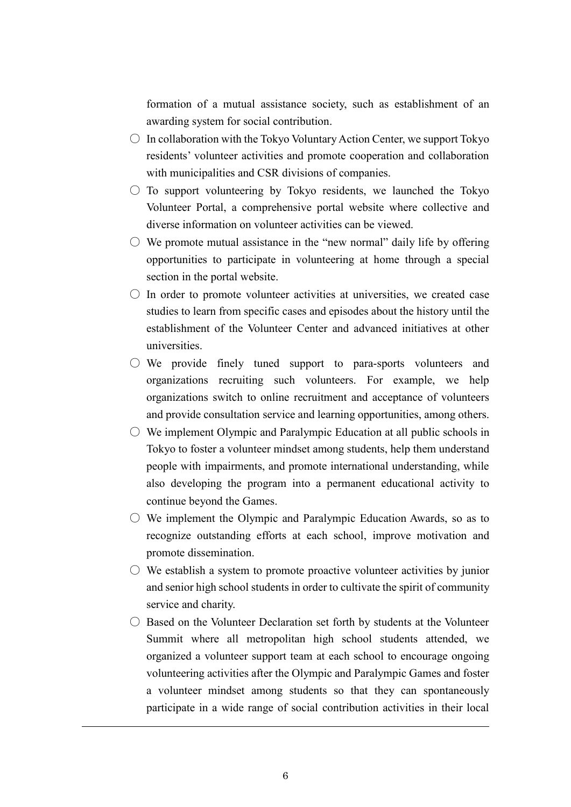formation of a mutual assistance society, such as establishment of an awarding system for social contribution.

- $\circ$  In collaboration with the Tokyo Voluntary Action Center, we support Tokyo residents' volunteer activities and promote cooperation and collaboration with municipalities and CSR divisions of companies.
- $\circ$  To support volunteering by Tokyo residents, we launched the Tokyo Volunteer Portal, a comprehensive portal website where collective and diverse information on volunteer activities can be viewed.
- $\circlearrowright$  We promote mutual assistance in the "new normal" daily life by offering opportunities to participate in volunteering at home through a special section in the portal website.
- $\bigcirc$  In order to promote volunteer activities at universities, we created case studies to learn from specific cases and episodes about the history until the establishment of the Volunteer Center and advanced initiatives at other universities.
- $\circ$  We provide finely tuned support to para-sports volunteers and organizations recruiting such volunteers. For example, we help organizations switch to online recruitment and acceptance of volunteers and provide consultation service and learning opportunities, among others.
- $\circlearrowright$  We implement Olympic and Paralympic Education at all public schools in Tokyo to foster a volunteer mindset among students, help them understand people with impairments, and promote international understanding, while also developing the program into a permanent educational activity to continue beyond the Games.
- $\circlearrowright$  We implement the Olympic and Paralympic Education Awards, so as to recognize outstanding efforts at each school, improve motivation and promote dissemination.
- $\circlearrowright$  We establish a system to promote proactive volunteer activities by junior and senior high school students in order to cultivate the spirit of community service and charity.
- $\bigcirc$  Based on the Volunteer Declaration set forth by students at the Volunteer Summit where all metropolitan high school students attended, we organized a volunteer support team at each school to encourage ongoing volunteering activities after the Olympic and Paralympic Games and foster a volunteer mindset among students so that they can spontaneously participate in a wide range of social contribution activities in their local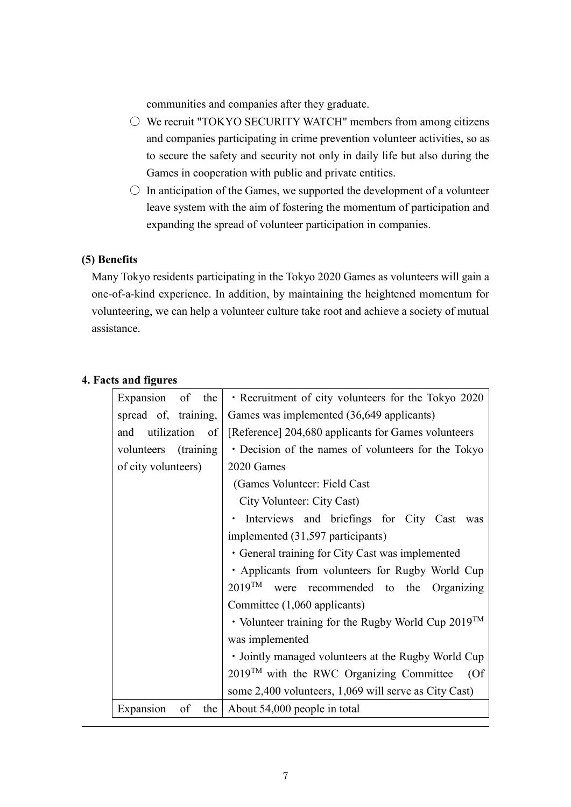communities and companies after they graduate.

- $\circ$  We recruit "TOKYO SECURITY WATCH" members from among citizens and companies participating in crime prevention volunteer activities, so as to secure the safety and security not only in daily life but also during the Games in cooperation with public and private entities.
- $\circ$  In anticipation of the Games, we supported the development of a volunteer leave system with the aim of fostering the momentum of participation and expanding the spread of volunteer participation in companies.

# **(5) Benefits**

Many Tokyo residents participating in the Tokyo 2020 Games as volunteers will gain a one-of-a-kind experience. In addition, by maintaining the heightened momentum for volunteering, we can help a volunteer culture take root and achieve a society of mutual assistance.

| Expansion of the               | • Recruitment of city volunteers for the Tokyo 2020      |
|--------------------------------|----------------------------------------------------------|
| spread of, training,           | Games was implemented (36,649 applicants)                |
| and utilization of             | [Reference] 204,680 applicants for Games volunteers      |
| volunteers (training           | • Decision of the names of volunteers for the Tokyo      |
| of city volunteers)            | 2020 Games                                               |
|                                | (Games Volunteer: Field Cast                             |
|                                | City Volunteer: City Cast)                               |
|                                | · Interviews and briefings for City Cast was             |
|                                | implemented (31,597 participants)                        |
|                                | • General training for City Cast was implemented         |
|                                | · Applicants from volunteers for Rugby World Cup         |
|                                | $2019^{TM}$<br>were recommended to the Organizing        |
|                                | Committee (1,060 applicants)                             |
|                                | • Volunteer training for the Rugby World Cup $2019^{TM}$ |
|                                | was implemented                                          |
|                                | • Jointly managed volunteers at the Rugby World Cup      |
|                                | 2019™ with the RWC Organizing Committee (Of              |
|                                | some 2,400 volunteers, 1,069 will serve as City Cast)    |
| of<br>the $\vert$<br>Expansion | About 54,000 people in total                             |

# **4. Facts and figures**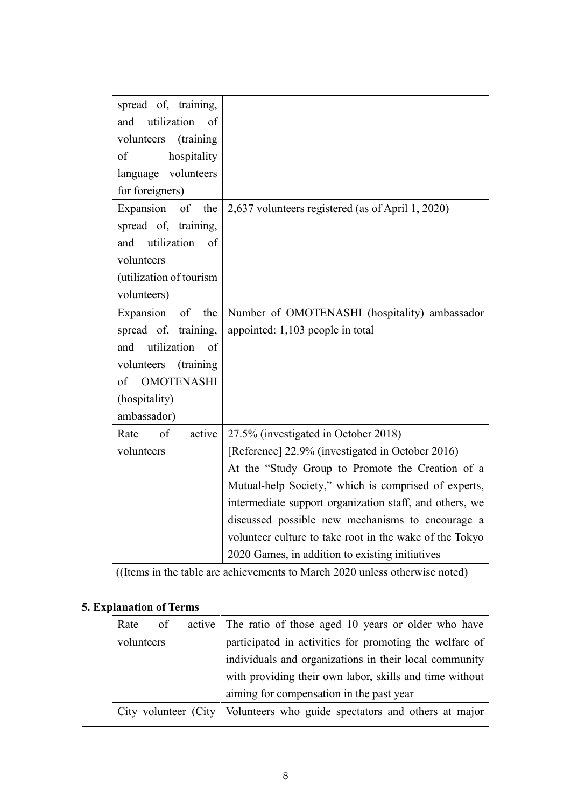| spread of, training,     |                                                         |
|--------------------------|---------------------------------------------------------|
| utilization<br>and<br>of |                                                         |
| volunteers<br>(training) |                                                         |
| hospitality<br>of        |                                                         |
| language volunteers      |                                                         |
| for foreigners)          |                                                         |
| Expansion of the         | 2,637 volunteers registered (as of April 1, 2020)       |
| spread of, training,     |                                                         |
| and utilization<br>of    |                                                         |
| volunteers               |                                                         |
| (utilization of tourism  |                                                         |
| volunteers)              |                                                         |
| Expansion<br>of<br>the   | Number of OMOTENASHI (hospitality) ambassador           |
| spread of, training,     | appointed: 1,103 people in total                        |
| utilization<br>and<br>of |                                                         |
| volunteers<br>(training) |                                                         |
| <b>OMOTENASHI</b><br>of  |                                                         |
| (hospitality)            |                                                         |
| ambassador)              |                                                         |
| Rate<br>of<br>active     | 27.5% (investigated in October 2018)                    |
| volunteers               | [Reference] 22.9% (investigated in October 2016)        |
|                          | At the "Study Group to Promote the Creation of a        |
|                          | Mutual-help Society," which is comprised of experts,    |
|                          | intermediate support organization staff, and others, we |
|                          | discussed possible new mechanisms to encourage a        |
|                          | volunteer culture to take root in the wake of the Tokyo |
|                          | 2020 Games, in addition to existing initiatives         |

((Items in the table are achievements to March 2020 unless otherwise noted)

# **5. Explanation of Terms**

| Rate       | of | active   The ratio of those aged 10 years or older who have                |
|------------|----|----------------------------------------------------------------------------|
| volunteers |    | participated in activities for promoting the welfare of                    |
|            |    | individuals and organizations in their local community                     |
|            |    | with providing their own labor, skills and time without                    |
|            |    | aiming for compensation in the past year                                   |
|            |    | City volunteer (City   Volunteers who guide spectators and others at major |